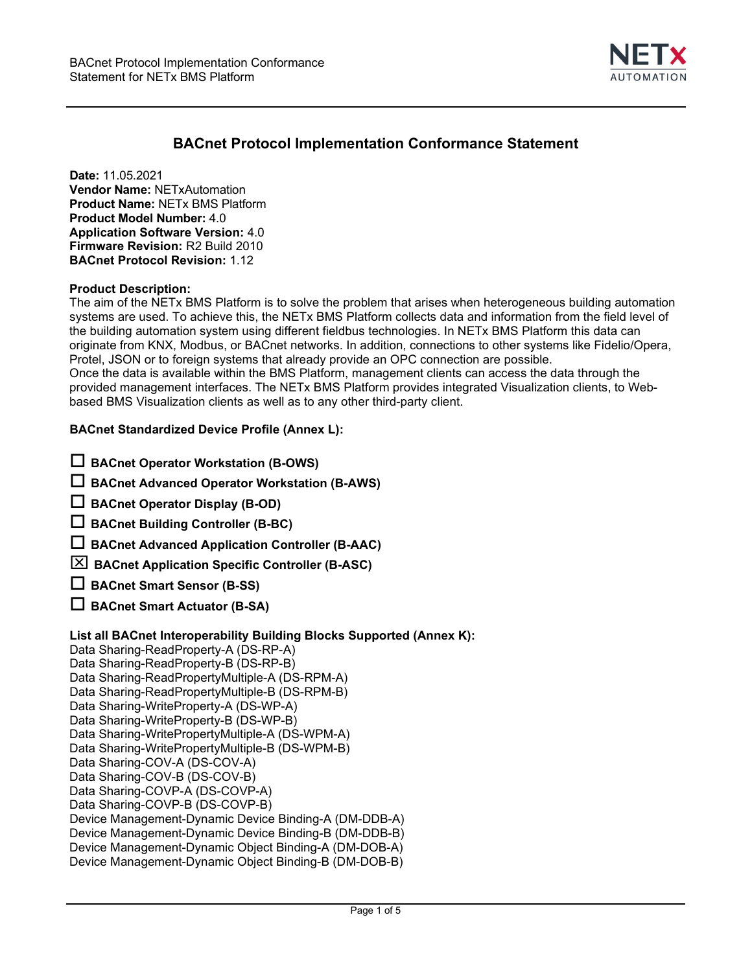

# **BACnet Protocol Implementation Conformance Statement**

**Date:** 11.05.2021 **Vendor Name:** NETxAutomation **Product Name:** NETx BMS Platform **Product Model Number:** 4.0 **Application Software Version:** 4.0 **Firmware Revision:** R2 Build 2010 **BACnet Protocol Revision:** 1.12

#### **Product Description:**

The aim of the NETx BMS Platform is to solve the problem that arises when heterogeneous building automation systems are used. To achieve this, the NETx BMS Platform collects data and information from the field level of the building automation system using different fieldbus technologies. In NETx BMS Platform this data can originate from KNX, Modbus, or BACnet networks. In addition, connections to other systems like Fidelio/Opera, Protel, JSON or to foreign systems that already provide an OPC connection are possible. Once the data is available within the BMS Platform, management clients can access the data through the provided management interfaces. The NETx BMS Platform provides integrated Visualization clients, to Webbased BMS Visualization clients as well as to any other third-party client.

## **BACnet Standardized Device Profile (Annex L):**

| $\Box$ BACnet Operator Workstation (B-OWS) |  |
|--------------------------------------------|--|
|--------------------------------------------|--|

**BACnet Advanced Operator Workstation (B-AWS)** 

**BACnet Operator Display (B-OD)** 

- **BACnet Building Controller (B-BC)**
- **BACnet Advanced Application Controller (B-AAC)**

**BACnet Application Specific Controller (B-ASC)**

- **BACnet Smart Sensor (B-SS)**
- **BACnet Smart Actuator (B-SA)**

## **List all BACnet Interoperability Building Blocks Supported (Annex K):**

Data Sharing-ReadProperty-A (DS-RP-A) Data Sharing-ReadProperty-B (DS-RP-B) Data Sharing-ReadPropertyMultiple-A (DS-RPM-A) Data Sharing-ReadPropertyMultiple-B (DS-RPM-B) Data Sharing-WriteProperty-A (DS-WP-A) Data Sharing-WriteProperty-B (DS-WP-B) Data Sharing-WritePropertyMultiple-A (DS-WPM-A) Data Sharing-WritePropertyMultiple-B (DS-WPM-B) Data Sharing-COV-A (DS-COV-A) Data Sharing-COV-B (DS-COV-B) Data Sharing-COVP-A (DS-COVP-A) Data Sharing-COVP-B (DS-COVP-B) Device Management-Dynamic Device Binding-A (DM-DDB-A) Device Management-Dynamic Device Binding-B (DM-DDB-B) Device Management-Dynamic Object Binding-A (DM-DOB-A) Device Management-Dynamic Object Binding-B (DM-DOB-B)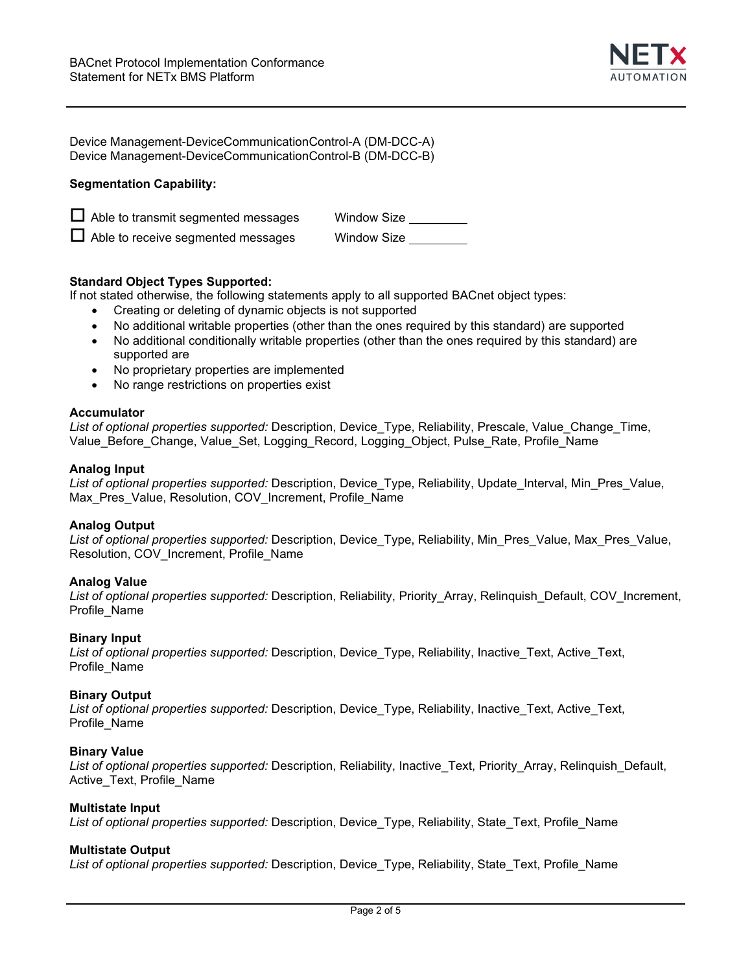

| Device Management-DeviceCommunicationControl-A (DM-DCC-A) |  |
|-----------------------------------------------------------|--|
| Device Management-DeviceCommunicationControl-B (DM-DCC-B) |  |

# **Segmentation Capability:**

| $\Box$ Able to transmit segmented messages | Window Size |
|--------------------------------------------|-------------|
| $\Box$ Able to receive segmented messages  | Window Size |

## **Standard Object Types Supported:**

If not stated otherwise, the following statements apply to all supported BACnet object types:

- Creating or deleting of dynamic objects is not supported
- No additional writable properties (other than the ones required by this standard) are supported
- No additional conditionally writable properties (other than the ones required by this standard) are supported are
- No proprietary properties are implemented
- No range restrictions on properties exist

## **Accumulator**

*List of optional properties supported:* Description, Device\_Type, Reliability, Prescale, Value\_Change\_Time, Value\_Before\_Change, Value\_Set, Logging\_Record, Logging\_Object, Pulse\_Rate, Profile\_Name

#### **Analog Input**

*List of optional properties supported:* Description, Device\_Type, Reliability, Update\_Interval, Min\_Pres\_Value, Max\_Pres\_Value, Resolution, COV\_Increment, Profile\_Name

## **Analog Output**

*List of optional properties supported:* Description, Device\_Type, Reliability, Min\_Pres\_Value, Max\_Pres\_Value, Resolution, COV\_Increment, Profile\_Name

## **Analog Value**

*List of optional properties supported:* Description, Reliability, Priority\_Array, Relinquish\_Default, COV\_Increment, Profile\_Name

## **Binary Input**

*List of optional properties supported:* Description, Device\_Type, Reliability, Inactive\_Text, Active\_Text, Profile\_Name

## **Binary Output**

*List of optional properties supported:* Description, Device\_Type, Reliability, Inactive\_Text, Active\_Text, Profile\_Name

## **Binary Value**

*List of optional properties supported:* Description, Reliability, Inactive\_Text, Priority\_Array, Relinquish\_Default, Active\_Text, Profile\_Name

#### **Multistate Input**

*List of optional properties supported:* Description, Device\_Type, Reliability, State\_Text, Profile\_Name

## **Multistate Output**

*List of optional properties supported:* Description, Device\_Type, Reliability, State\_Text, Profile\_Name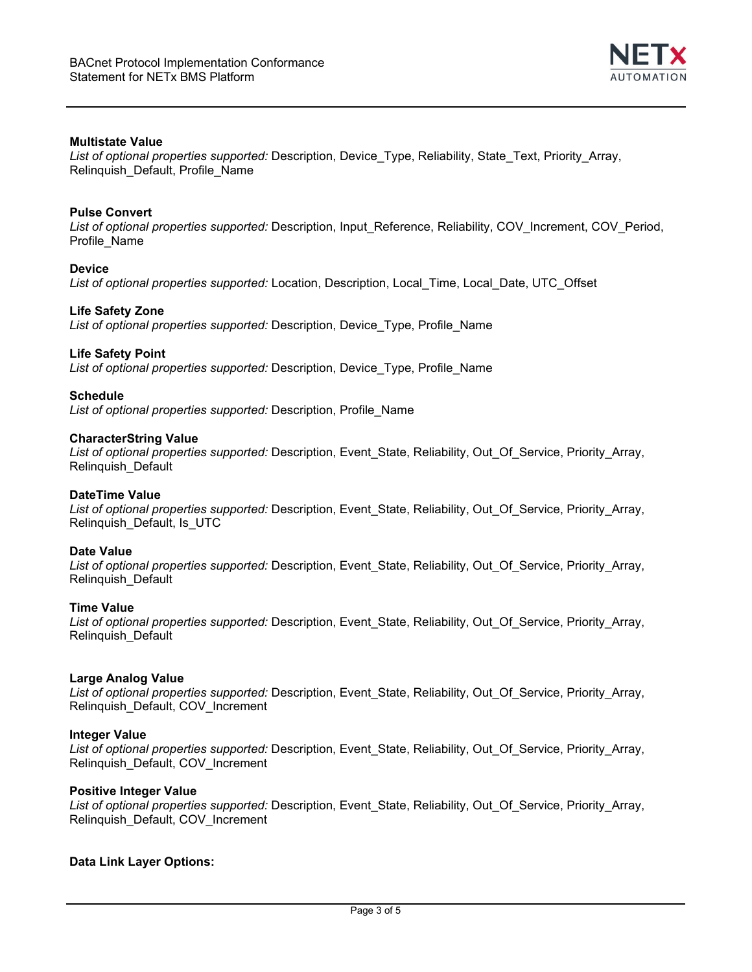

# **Multistate Value**

*List of optional properties supported:* Description, Device\_Type, Reliability, State\_Text, Priority\_Array, Relinquish\_Default, Profile\_Name

## **Pulse Convert**

*List of optional properties supported:* Description, Input\_Reference, Reliability, COV\_Increment, COV\_Period, Profile\_Name

## **Device**

*List of optional properties supported:* Location, Description, Local\_Time, Local\_Date, UTC\_Offset

#### **Life Safety Zone**

*List of optional properties supported:* Description, Device\_Type, Profile\_Name

## **Life Safety Point**

*List of optional properties supported:* Description, Device\_Type, Profile\_Name

#### **Schedule**

*List of optional properties supported:* Description, Profile\_Name

#### **CharacterString Value**

*List of optional properties supported:* Description, Event\_State, Reliability, Out\_Of\_Service, Priority\_Array, Relinquish\_Default

# **DateTime Value**

*List of optional properties supported:* Description, Event\_State, Reliability, Out\_Of\_Service, Priority\_Array, Relinquish\_Default, Is\_UTC

#### **Date Value**

*List of optional properties supported:* Description, Event\_State, Reliability, Out\_Of\_Service, Priority\_Array, Relinquish\_Default

## **Time Value**

*List of optional properties supported:* Description, Event\_State, Reliability, Out\_Of\_Service, Priority\_Array, Relinquish\_Default

## **Large Analog Value**

*List of optional properties supported:* Description, Event\_State, Reliability, Out\_Of\_Service, Priority\_Array, Relinquish\_Default, COV\_Increment

#### **Integer Value**

*List of optional properties supported:* Description, Event\_State, Reliability, Out\_Of\_Service, Priority\_Array, Relinquish\_Default, COV\_Increment

## **Positive Integer Value**

*List of optional properties supported:* Description, Event\_State, Reliability, Out\_Of\_Service, Priority\_Array, Relinquish\_Default, COV\_Increment

## **Data Link Layer Options:**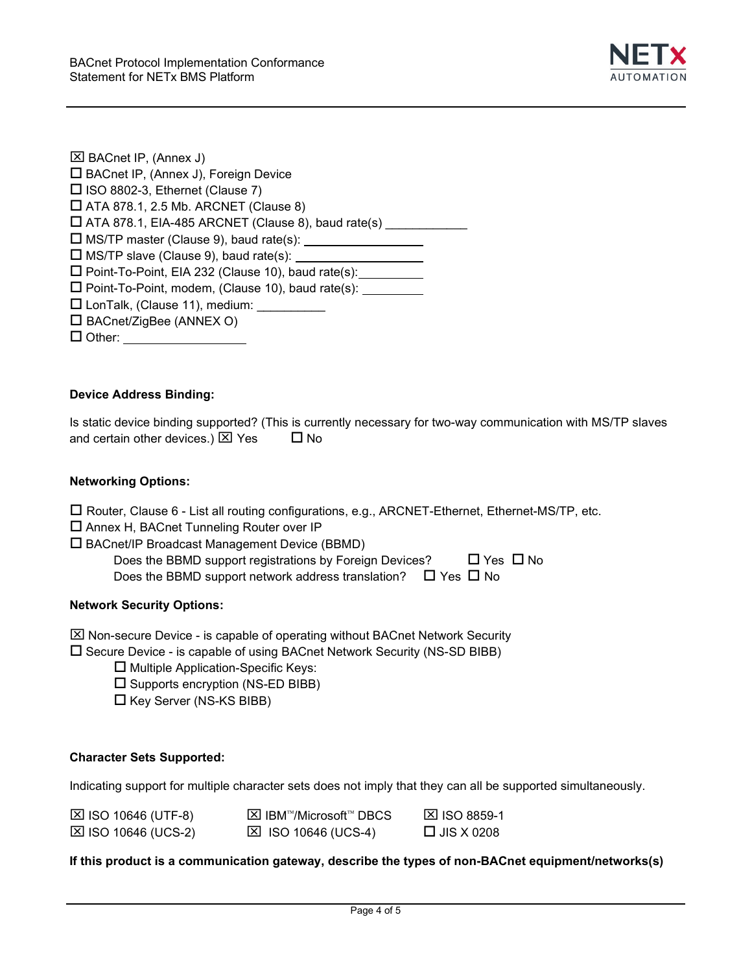

| <b>⊠ BACnet IP, (Annex J)</b>                                |  |
|--------------------------------------------------------------|--|
| □ BACnet IP, (Annex J), Foreign Device                       |  |
| $\Box$ ISO 8802-3, Ethernet (Clause 7)                       |  |
| $\Box$ ATA 878.1, 2.5 Mb. ARCNET (Clause 8)                  |  |
| $\Box$ ATA 878.1, EIA-485 ARCNET (Clause 8), baud rate(s)    |  |
| $\Box$ MS/TP master (Clause 9), baud rate(s): $\Box$         |  |
| $\square$ MS/TP slave (Clause 9), baud rate(s):              |  |
| □ Point-To-Point, EIA 232 (Clause 10), baud rate(s):         |  |
| □ Point-To-Point, modem, (Clause 10), baud rate(s): <u>■</u> |  |
| □ LonTalk, (Clause 11), medium: _____                        |  |
| $\Box$ BACnet/ZigBee (ANNEX O)                               |  |
| $\square$ Other:                                             |  |
|                                                              |  |

# **Device Address Binding:**

Is static device binding supported? (This is currently necessary for two-way communication with MS/TP slaves and certain other devices.)  $\boxtimes$  Yes  $\Box$  No

# **Networking Options:**

|  | $\Box$ Router, Clause 6 - List all routing configurations, e.g., ARCNET-Ethernet, Ethernet-MS/TP, etc. |
|--|--------------------------------------------------------------------------------------------------------|
|--|--------------------------------------------------------------------------------------------------------|

- Annex H, BACnet Tunneling Router over IP
- BACnet/IP Broadcast Management Device (BBMD)

| Does the BBMD support registrations by Foreign Devices?                 | $\Box$ Yes $\Box$ No |  |
|-------------------------------------------------------------------------|----------------------|--|
| Does the BBMD support network address translation? $\Box$ Yes $\Box$ No |                      |  |

## **Network Security Options:**

 $\boxtimes$  Non-secure Device - is capable of operating without BACnet Network Security

 $\square$  Secure Device - is capable of using BACnet Network Security (NS-SD BIBB)

- $\square$  Multiple Application-Specific Keys:
- $\square$  Supports encryption (NS-ED BIBB)
- $\square$  Key Server (NS-KS BIBB)

## **Character Sets Supported:**

Indicating support for multiple character sets does not imply that they can all be supported simultaneously.

| $\boxtimes$ ISO 10646 (UTF-8) | <b>⊠ IBM™/Microsoft™ DBCS</b> | <b>⊠ ISO 8859-1</b> |
|-------------------------------|-------------------------------|---------------------|
| $\boxtimes$ ISO 10646 (UCS-2) | $\boxtimes$ ISO 10646 (UCS-4) | $\Box$ JIS X 0208   |

# **If this product is a communication gateway, describe the types of non-BACnet equipment/networks(s)**